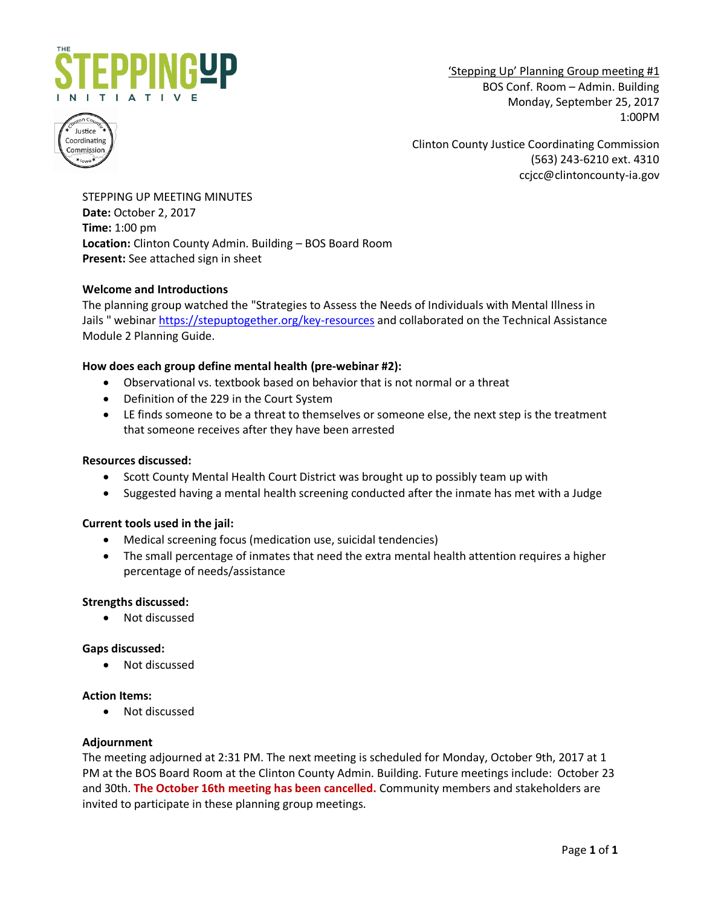

'Stepping Up' Planning Group meeting #1 BOS Conf. Room – Admin. Building Monday, September 25, 2017 1:00PM



Clinton County Justice Coordinating Commission (563) 243-6210 ext. 4310 ccjcc@clintoncounty-ia.gov

STEPPING UP MEETING MINUTES **Date:** October 2, 2017 **Time:** 1:00 pm **Location:** Clinton County Admin. Building – BOS Board Room **Present:** See attached sign in sheet

# **Welcome and Introductions**

The planning group watched the "Strategies to Assess the Needs of Individuals with Mental Illness in Jails " webina[r https://stepuptogether.org/key-resources](https://stepuptogether.org/key-resources) and collaborated on the Technical Assistance Module 2 Planning Guide.

# **How does each group define mental health (pre-webinar #2):**

- Observational vs. textbook based on behavior that is not normal or a threat
- Definition of the 229 in the Court System
- LE finds someone to be a threat to themselves or someone else, the next step is the treatment that someone receives after they have been arrested

## **Resources discussed:**

- Scott County Mental Health Court District was brought up to possibly team up with
- Suggested having a mental health screening conducted after the inmate has met with a Judge

## **Current tools used in the jail:**

- Medical screening focus (medication use, suicidal tendencies)
- The small percentage of inmates that need the extra mental health attention requires a higher percentage of needs/assistance

## **Strengths discussed:**

Not discussed

## **Gaps discussed:**

Not discussed

## **Action Items:**

Not discussed

## **Adjournment**

The meeting adjourned at 2:31 PM. The next meeting is scheduled for Monday, October 9th, 2017 at 1 PM at the BOS Board Room at the Clinton County Admin. Building. Future meetings include: October 23 and 30th. **The October 16th meeting has been cancelled.** Community members and stakeholders are invited to participate in these planning group meetings.